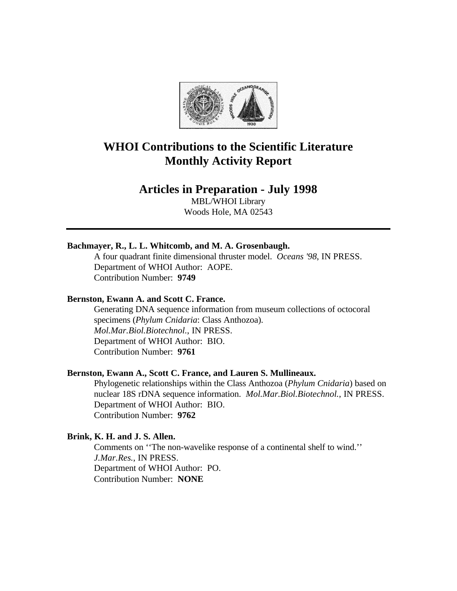

# **WHOI Contributions to the Scientific Literature Monthly Activity Report**

# **Articles in Preparation - July 1998**

MBL/WHOI Library Woods Hole, MA 02543

## **Bachmayer, R., L. L. Whitcomb, and M. A. Grosenbaugh.**

A four quadrant finite dimensional thruster model. *Oceans '98*, IN PRESS. Department of WHOI Author: AOPE. Contribution Number: **9749**

#### **Bernston, Ewann A. and Scott C. France.**

Generating DNA sequence information from museum collections of octocoral specimens (*Phylum Cnidaria*: Class Anthozoa). *Mol.Mar.Biol.Biotechnol.*, IN PRESS. Department of WHOI Author: BIO. Contribution Number: **9761**

#### **Bernston, Ewann A., Scott C. France, and Lauren S. Mullineaux.**

Phylogenetic relationships within the Class Anthozoa (*Phylum Cnidaria*) based on nuclear 18S rDNA sequence information. *Mol.Mar.Biol.Biotechnol.*, IN PRESS. Department of WHOI Author: BIO. Contribution Number: **9762**

## **Brink, K. H. and J. S. Allen.**

Comments on ''The non-wavelike response of a continental shelf to wind.'' *J.Mar.Res.*, IN PRESS. Department of WHOI Author: PO. Contribution Number: **NONE**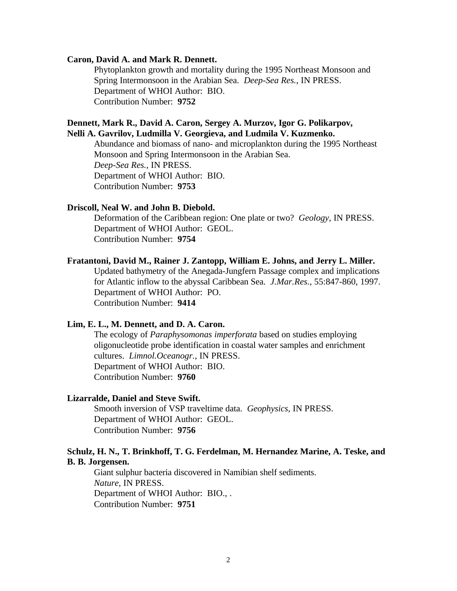## **Caron, David A. and Mark R. Dennett.**

Phytoplankton growth and mortality during the 1995 Northeast Monsoon and Spring Intermonsoon in the Arabian Sea. *Deep-Sea Res.*, IN PRESS. Department of WHOI Author: BIO. Contribution Number: **9752**

## **Dennett, Mark R., David A. Caron, Sergey A. Murzov, Igor G. Polikarpov, Nelli A. Gavrilov, Ludmilla V. Georgieva, and Ludmila V. Kuzmenko.**

Abundance and biomass of nano- and microplankton during the 1995 Northeast Monsoon and Spring Intermonsoon in the Arabian Sea. *Deep-Sea Res.*, IN PRESS. Department of WHOI Author: BIO. Contribution Number: **9753**

### **Driscoll, Neal W. and John B. Diebold.**

Deformation of the Caribbean region: One plate or two? *Geology*, IN PRESS. Department of WHOI Author: GEOL. Contribution Number: **9754**

#### **Fratantoni, David M., Rainer J. Zantopp, William E. Johns, and Jerry L. Miller.**

Updated bathymetry of the Anegada-Jungfern Passage complex and implications for Atlantic inflow to the abyssal Caribbean Sea. *J.Mar.Res.,* 55:847-860, 1997. Department of WHOI Author: PO. Contribution Number: **9414**

## **Lim, E. L., M. Dennett, and D. A. Caron.**

The ecology of *Paraphysomonas imperforata* based on studies employing oligonucleotide probe identification in coastal water samples and enrichment cultures. *Limnol.Oceanogr.*, IN PRESS. Department of WHOI Author: BIO. Contribution Number: **9760**

#### **Lizarralde, Daniel and Steve Swift.**

Smooth inversion of VSP traveltime data. *Geophysics*, IN PRESS. Department of WHOI Author: GEOL. Contribution Number: **9756**

## **Schulz, H. N., T. Brinkhoff, T. G. Ferdelman, M. Hernandez Marine, A. Teske, and B. B. Jorgensen.**

Giant sulphur bacteria discovered in Namibian shelf sediments. *Nature*, IN PRESS. Department of WHOI Author: BIO., . Contribution Number: **9751**